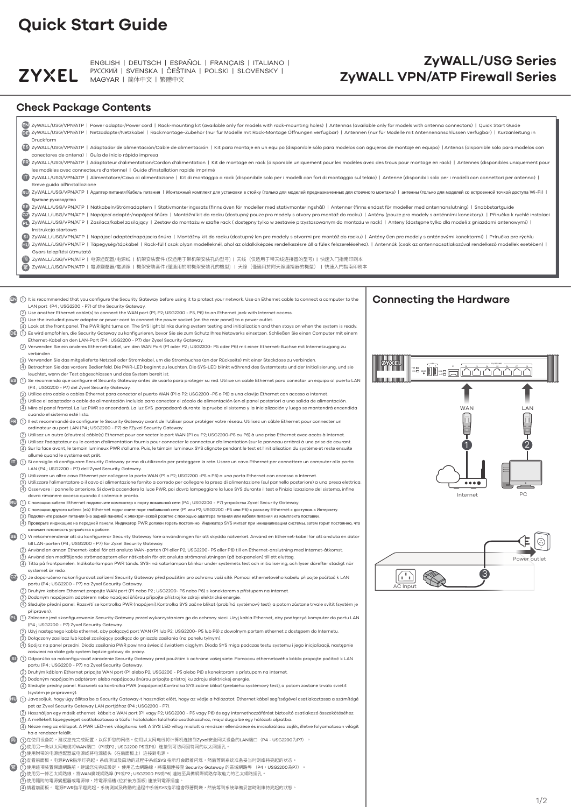## **ZyWALL/USG Series ZyWALL VPN/ATP Firewall Series**

# **Quick Start Guide**



ENGLISH | DEUTSCH | ESPAÑOL | FRANÇAIS | ITALIANO | РУССКИЙ | SVENSKA | ČEŠTINA | POLSKI | SLOVENSKY | MAGYAR | 简体中文 | 繁體中文

### **Check Package Contents**

PL) (1) Zalecane jest skonfigurowanie Security Gateway przed wykorzystaniem go do ochrony sieci. Użyj kabla Ethernet, aby podłączyć komputer do portu LAN (P4 ; USG2200 - P7) Zyxel Security Gateway.

- Użyj następnego kabla ethernet, aby połączyć port WAN (P1 lub P2; USG2200- P5 lub P6) z dowolnym portem ethernet z dostępem do Internetu. 2
- Dołączony zasilacz lub kabel zasilający podłącz do gniazda zasilania (na panelu tylnym). 3
- (4) Spójrz na panel przedni. Dioda zasilania PWR powinna świecić światłem ciągłym. Dioda SYS miga podczas testu systemu i jego inicjalizacji, następnie zaświeci na stałe gdy system będzie gotowy do pracy.
- $\mathsf{SI} \setminus (1)$  Odporúča sa nakonfigurovať zaradenie Security Gateway pred použitím k ochrane vašej siete. Pomocou ethernetového kábla propojte počítač k LAN portu (P4 ; USG2200 - P7) na Zyxel Security Gateway.
	- (2) Druhým káblom Ethernet pripojte WAN port (P1 alebo P2; USG2200 P5 alebo P6) s konektorom s prístupom na internet.
	- (3) Dodaným napájacím adptérom alebo napájacou šnúrou pripojte prístroj ku zdroju elektrickej energie. 3
	- Sledujte predný panel. Rozsvieti sa kontrolka PWR (napájanie).Kontrolka SYS začne blikať (prebieha systémový test), a potom zostane trvalo svietiť (systém je pripravený). 4
- Javasoljuk, hogy úgy állítsa be a Security Gateway-t használat előtt, hogy az védje a hálózatot. Ethernet kábel segítségével csatlakoztassa a számítógé 1 **HU** pet az Zyxel Security Gateway LAN portjához (P4 ; USG2200 - P7).
	- Használjon egy másik ethernet kábelt a WAN port (P1 vagy P2; USG2200 P5 vagy P6) és egy internethozzáférést biztosító csatlakozó összekötéséhez. 2
	- $\Im$ ) A mellékelt tápegységet csatlakoztassa a tűzfal hátoldalán található csatlakozóhoz, majd dugja be egy hálózati aljzatba.
	- $\left( 4\right)$  Nézze meg az előlapot. A PWR LED-nek világítania kell. A SYS LED villog mialatt a rendszer ellenőrzése és inicializálása zajlik, illetve folyamatosan világít ha a rendszer felállt.
- 简) (1)在使用设备前,建议您先完成配置,以保护您的网络。使用以太网电线将计算机连接到Zyxel安全网关设备的LAN端口(P4:USG2200为P7)。
	- (2)使用另一条以太网电缆将WAN端口(P1或P2 ; USG2200 P5或P6)连接到可访问因特网的以太网插孔。
	- (3)使用附带的电源适配器或电源线将电源插头(在后面板上)连接到电源。
	- (4)查看前面板。电源PWR指示灯亮起。系统测试及启动的过程中系统SYS 指示灯会跟着闪烁,然后等到系统准备妥当时则维持亮起的状态。
- 繁)(1)使用這項裝置保護網路前,建議您先完成設定。 使用乙太網路線,將電腦連接至 Security Gateway 的區域網路埠 (P4:USG2200為P7)。
	- (2)使用另一條乙太網路線,將WAN廣域網路埠 (P1或P2 ; USG2200 P5或P6) 連結至具備網際網路存取能力的乙太網路插孔。
	- (3)使用隨附的電源變壓器或電源線,將電源插槽 (位於後方面板) 連接到電源插座。
	- (4)請看前面板。 電源PWR指示燈亮起。系統測試及啟動的過程中系統SYS指示燈會跟著閃爍,然後等到系統準備妥當時則維持亮起的狀態。

(4) Sledujte přední panel. Rozsvítí se kontrolka PWR (napájení).Kontrolka SYS začne blikat (probíhá systémový test), a potom zůstane trvale svítit (systém je 4

|     | EN ZyWALL/USG/VPN/ATP   Power adaptor/Power cord   Rack-mounting kit (available only for models with rack-mounting holes)   Antennas (available only for models with antenna connectors)   Quick Start Guide<br>a ZyWALL/USG/VPN/ATP   Netzadapter/Netzkabel   Rackmontage-Zubehör (nur für Modelle mit Rack-Montage Öffnungen verfügbar)   Antennen (nur für Modelle mit Antennenanschlüssen verfügbar)   Kurzanleitung in<br>Druckform                                                                                                                                                                                                            |                                                                                                                 |
|-----|-----------------------------------------------------------------------------------------------------------------------------------------------------------------------------------------------------------------------------------------------------------------------------------------------------------------------------------------------------------------------------------------------------------------------------------------------------------------------------------------------------------------------------------------------------------------------------------------------------------------------------------------------------|-----------------------------------------------------------------------------------------------------------------|
|     | ES ZyWALL/USG/VPN/ATP   Adaptador de alimentación/Cable de alimentación   Kit para montaje en un equipo (disponible sólo para modelos con agujeros de montaje en equipo)   Antenas (disponible sólo para modelos con<br>conectores de antena)   Guía de inicio rápido impresa                                                                                                                                                                                                                                                                                                                                                                       |                                                                                                                 |
|     | ER ZyWALL/USG/VPN/ATP   Adaptateur d'alimentation/Cordon d'alimentation   Kit de montage en rack (disponible uniquement pour les modèles avec des trous pour montage en rack)   Antennes (disponibles uniquement pour<br>les modèles avec connecteurs d'antenne)   Guide d'installation rapide imprimé                                                                                                                                                                                                                                                                                                                                              |                                                                                                                 |
|     | [T] ZyWALL/USG/VPN/ATP   Alimentatore/Cavo di alimentazione   Kit di montaggio a rack (disponibile solo per i modelli con fori di montaggio sul telaio)   Antenne (disponibili solo per i modelli con connettori per antenna)<br>Breve guida all'installazione                                                                                                                                                                                                                                                                                                                                                                                      |                                                                                                                 |
|     | RU ZyWALL/USG/VPN/ATP   Адаптер питания/Кабель питания   Монтажный комплект для установки в стойку (только для моделей предназначенных для стоечного монтажа)   антенны (только для моделей со встроенной точкой доступа Wi-F<br>Краткое руководство                                                                                                                                                                                                                                                                                                                                                                                                |                                                                                                                 |
|     | SE ZyWALL/USG/VPN/ATP   Nätkabeln/Strömadaptern   Stativmonteringssats (finns även för modeller med stativmonteringshål)   Antenner (finns endast för modeller med antennanslutning)   Snabbstartguide<br>27 ZyWALL/USG/VPN/ATP   Napájecí adaptér/napájecí šňůra   Montážní kit do racku (dostupný pouze pro modely s otvory pro montáž do racku)   Antény (pouze pro modely s anténními konektory).   Příručka k rychlé instalaci<br>2 ZyWALL/USG/VPN/ATP   Zasilacz/kabel zasilający   Zestaw do montażu w szafie rack ( dostępny tylko w zestawie przystosowanym do montażu w rack)   Anteny (dostępne tylko dla modeli z gniazdami antenowymi) |                                                                                                                 |
|     | Instrukcja startowa<br>(SI)<br>ZyWALL/USG/VPN/ATP   Napájací adaptér/napájacia šnúra   Montážny kit do racku (dostupný len pre modely s otvormi pre montáž do racku)   Antény (len pre modely s anténovými konektormi)   Príručka pre rýchlu<br>ZyWALL/USG/VPN/ATP   Tápegység/tápkábel   Rack-fül (csak olyan modelleknél, ahol az oldalkiképzés rendelkezésre áll a fülek felszereléséhez).   Antennák (csak az antennacsatlakozóval rendelkező modellek esetében)  <br>Gyors telepítési útmutató                                                                                                                                                 |                                                                                                                 |
|     | ZyWALL/USG/VPN/ATP   电源适配器/电源线   机架安装套件 (仅适用于带机架安装孔的型号)   天线(仅适用于带天线连接器的型号)   快速入门指南印刷本<br>ZyWALL/USG/VPN/ATP   電源變壓器/電源線   機架安裝套件 (僅適用於附機架安裝孔的機型)   天線(僅適用於附天線連接器的機型)   快速入門指南印刷本                                                                                                                                                                                                                                                                                                                                                                                                                                                                  |                                                                                                                 |
|     |                                                                                                                                                                                                                                                                                                                                                                                                                                                                                                                                                                                                                                                     |                                                                                                                 |
|     | (1) It is recommended that you configure the Security Gateway before using it to protect your network. Use an Ethernet cable to connect a computer to the<br>LAN port (P4; USG2200 - P7) of the Security Gateway.                                                                                                                                                                                                                                                                                                                                                                                                                                   | <b>Connecting the Hardware</b>                                                                                  |
|     | (2) Use another Ethernet cable(s) to connect the WAN port (P1, P2; USG2200 - P5, P6) to an Ethernet jack with Internet access.<br>(3) Use the included power adaptor or power cord to connect the power socket (on the rear panel) to a power outlet.                                                                                                                                                                                                                                                                                                                                                                                               |                                                                                                                 |
| DE  | (4) Look at the front panel. The PWR light turns on. The SYS light blinks during system testing and initialization and then stays on when the system is ready.<br>(1) Es wird empfohlen, die Security Gateway zu konfigurieren, bevor Sie sie zum Schutz Ihres Netzwerks einsetzen. Schließen Sie einen Computer mit einem                                                                                                                                                                                                                                                                                                                          |                                                                                                                 |
|     | Ethernet-Kabel an den LAN-Port (P4; USG2200 - P7) der Zyxel Security Gateway.<br>(2) Verwenden Sie ein anderes Ethernet-Kabel, um den WAN Port (P1 oder P2 ; USG2200- P5 oder P6) mit einer Ethernet-Buchse mit Internetzugang zu<br>verbinden.                                                                                                                                                                                                                                                                                                                                                                                                     |                                                                                                                 |
|     | (3) Verwenden Sie das mitgelieferte Netzteil oder Stromkabel, um die Strombuchse (an der Rückseite) mit einer Steckdose zu verbinden.<br>(4) Betrachten Sie das vordere Bedienfeld. Die PWR-LED beginnt zu leuchten. Die SYS-LED blinkt während des Systemtests und der Initialisierung, und sie<br>leuchtet, wenn der Test abgeschlossen und das System bereit ist.                                                                                                                                                                                                                                                                                | E ALL AND RESEARCH THE RESEARCH OF THE RESEARCH OF THE RESEARCH OF THE RESEARCH OF THE RESEARCH OF THE RESEARCH |
|     | (1) Se recomienda que configure el Security Gateway antes de usarlo para proteger su red. Utilice un cable Ethernet para conectar un equipo al puerto LAN<br>(P4; USG2200 - P7) del Zyxel Security Gateway.                                                                                                                                                                                                                                                                                                                                                                                                                                         |                                                                                                                 |
|     | (2) Utilice otro cable o cables Ethernet para conectar el puerto WAN (P1 o P2; USG2200 -P5 o P6) a una clavija Ethernet con acceso a Internet.<br>(3) Utilice el adaptador o cable de alimentación incluido para conectar el zócalo de alimentación (en el panel posterior) a una salida de alimentación.<br>(4) Mire al panel frontal. La luz PWR se encenderá. La luz SYS parpadeará durante la prueba el sistema y la inicialización y luego se mantendrá encendida                                                                                                                                                                              | <b>WAN</b><br>LAN                                                                                               |
|     | cuando el sistema esté listo.<br>(1) Il est recommandé de configurer le Security Gateway avant de l'utiliser pour protéger votre réseau. Utilisez un câble Ethernet pour connecter un                                                                                                                                                                                                                                                                                                                                                                                                                                                               |                                                                                                                 |
|     | ordinateur au port LAN (P4; USG2200 - P7) de l'Zyxel Security Gateway.<br>(2) Utilisez un autre (d'autres) câble(s) Ethernet pour connecter le port WAN (P1 ou P2; USG2200-P5 ou P6) à une prise Ethernet avec accès à Internet.<br>(3) Utilisez l'adaptateur ou le cordon d'alimentation fournis pour connecter le connecteur d'alimentation (sur le panneau arrière) à une prise de courant.                                                                                                                                                                                                                                                      |                                                                                                                 |
|     | (4) Sur la face avant, le temoin lumineux PWR s'allume. Puis, le témoin lumineux SYS clignote pendant le test et l'initialisation du système et reste ensuite<br>allumé quand le système est prêt.                                                                                                                                                                                                                                                                                                                                                                                                                                                  |                                                                                                                 |
| m   | (1) Si consiglia di configurare Security Gateway prima di utilizzarlo per proteggere la rete. Usare un cavo Ethernet per connettere un computer alla porta<br>LAN (P4; USG2200 - P7) dell'Zyxel Security Gateway.                                                                                                                                                                                                                                                                                                                                                                                                                                   |                                                                                                                 |
|     | (2) Utilizzare un altro cavo Ethernet per collegare la porta WAN (P1 o P2; USG2200 -P5 o P6) a una porta Ethernet con accesso a Internet.<br>(3) Utilizzare l'alimentatore o il cavo di alimentazione fornito a corredo per collegare la presa di alimentazione (sul pannello posteriore) a una presa elettrica.<br>(4) Osservare il pannello anteriore. Si dovrà accendere la luce PWR, poi dovrà lampeggiare la luce SYS durante il test e l'inizializzazione del sistema, infine                                                                                                                                                                 | $\bullet\bullet\bullet\bullet$                                                                                  |
|     | dovrà rimanere accesa quando il sistema è pronto.<br>(1) С помощью кабеля Ethernet подключите компьютер к порту локальной сети (P4 ; USG2200 - P7) устройства Zyxel Security Gateway.                                                                                                                                                                                                                                                                                                                                                                                                                                                               | PC<br>Internet                                                                                                  |
|     | $(2)$ С помощью другого кабеля (ей) Ethernet подключите порт глобальной сети (P1 или P2; USG2200 -P5 или P6) к разъему Ethernet с доступом к Интернету.<br>(3) Подключите разъем питания (на задней панели) к электрической розетке с помощью адаптера питания или кабеля питания из комплекта поставки.                                                                                                                                                                                                                                                                                                                                            |                                                                                                                 |
|     | (4) Проверьте индикацию на передней панели. Индикатор PWR должен гореть постоянно. Индикатор SYS мигает при инициализации системы, затем горит постоянно, что<br>означает готовность устройства к работе.                                                                                                                                                                                                                                                                                                                                                                                                                                           |                                                                                                                 |
| SE) | (1) Vi rekommenderar att du konfigurerar Security Gateway före användningen för att skydda nätverket. Använd en Ethernet-kabel för att ansluta en dator<br>till LAN-porten (P4; USG2200 - P7) för Zyxel Security Gateway.                                                                                                                                                                                                                                                                                                                                                                                                                           |                                                                                                                 |
|     | (2) Använd en annan Ethernet-kabel för att ansluta WAN-porten (P1 eller P2; USG2200- P5 eller P6) till en Ethernet-anslutning med Internet-åtkomst.<br>(3) Använd den medföljande strömadaptern eller nätkabeln för att ansluta strömanslutningen (på bakpanelen) till ett eluttag.<br>(4) Titta på frontpanelen. Indikatorlampan PWR tänds. SYS-indikatorlampan blinkar under systemets test och initialisering, och lyser därefter stadigt när                                                                                                                                                                                                    | Power outlet                                                                                                    |
|     | systemet är redo.<br>⊙2 (1) Je doporučeno nakonfigurovat zařízení Security Gateway před použitím pro ochranu vaší sítě. Pomocí ethernetového kabelu připojte počítač k LAN<br>portu (P4; USG2200 - P7) na Zyxel Security Gateway.                                                                                                                                                                                                                                                                                                                                                                                                                   |                                                                                                                 |
|     | (2) Druhým kabelem Ethernet propojte WAN port (P1 nebo P2 ; USG2200- P5 nebo P6) s konektorem s přístupem na internet.                                                                                                                                                                                                                                                                                                                                                                                                                                                                                                                              | AC Input                                                                                                        |

připraven).

- 
- Dodaným napájecím adptérem nebo napájecí šňůrou připojte přístroj ke zdroji elektrické energie. 3